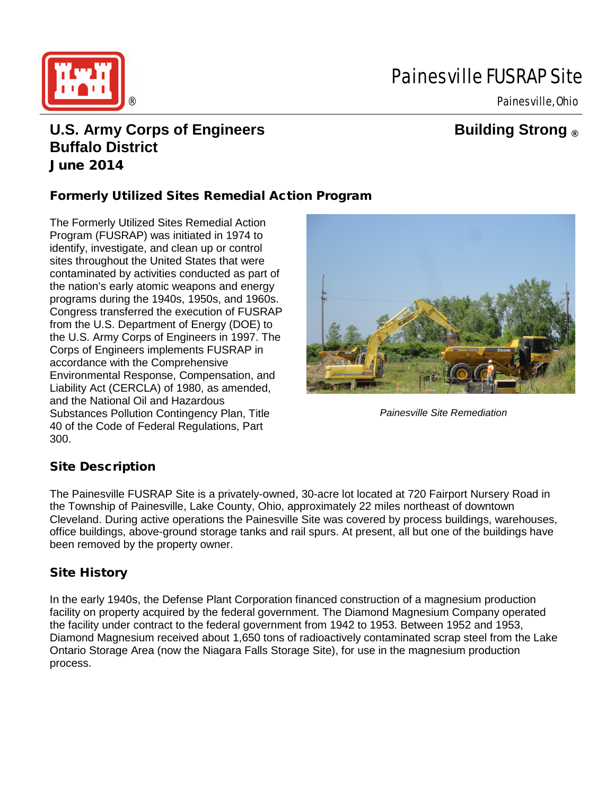

# Painesville FUSRAP Site

## **U.S. Army Corps of Engineers Building Strong ® Buffalo District** June 2014

### Formerly Utilized Sites Remedial Action Program

The Formerly Utilized Sites Remedial Action Program (FUSRAP) was initiated in 1974 to identify, investigate, and clean up or control sites throughout the United States that were contaminated by activities conducted as part of the nation's early atomic weapons and energy programs during the 1940s, 1950s, and 1960s. Congress transferred the execution of FUSRAP from the U.S. Department of Energy (DOE) to the U.S. Army Corps of Engineers in 1997. The Corps of Engineers implements FUSRAP in accordance with the Comprehensive Environmental Response, Compensation, and Liability Act (CERCLA) of 1980, as amended, and the National Oil and Hazardous Substances Pollution Contingency Plan, Title 40 of the Code of Federal Regulations, Part 300.



*Painesville Site Remediation*

#### Site Description

The Painesville FUSRAP Site is a privately-owned, 30-acre lot located at 720 Fairport Nursery Road in the Township of Painesville, Lake County, Ohio, approximately 22 miles northeast of downtown Cleveland. During active operations the Painesville Site was covered by process buildings, warehouses, office buildings, above-ground storage tanks and rail spurs. At present, all but one of the buildings have been removed by the property owner.

#### Site History

In the early 1940s, the Defense Plant Corporation financed construction of a magnesium production facility on property acquired by the federal government. The Diamond Magnesium Company operated the facility under contract to the federal government from 1942 to 1953. Between 1952 and 1953, Diamond Magnesium received about 1,650 tons of radioactively contaminated scrap steel from the Lake Ontario Storage Area (now the Niagara Falls Storage Site), for use in the magnesium production process.